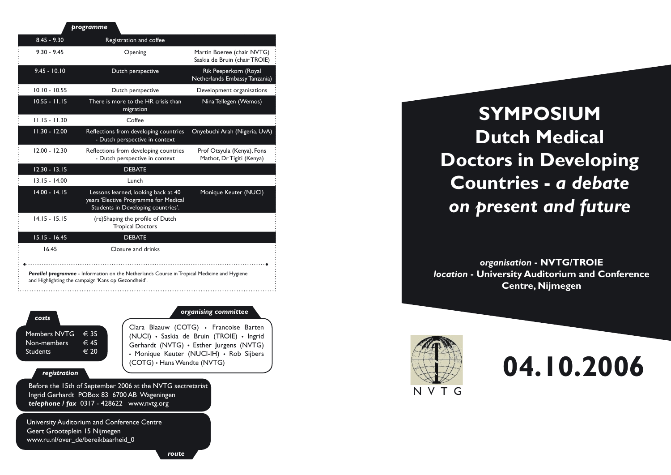| programme       |                                                                                                                                                    |                                                             |
|-----------------|----------------------------------------------------------------------------------------------------------------------------------------------------|-------------------------------------------------------------|
| $8.45 - 9.30$   | Registration and coffee                                                                                                                            |                                                             |
| $9.30 - 9.45$   | Opening                                                                                                                                            | Martin Boeree (chair NVTG)<br>Saskia de Bruin (chair TROIE) |
| $9.45 - 10.10$  | Dutch perspective                                                                                                                                  | Rik Peeperkorn (Royal<br>Netherlands Embassy Tanzania)      |
| $10.10 - 10.55$ | Dutch perspective                                                                                                                                  | Development organisations                                   |
| $10.55 - 11.15$ | There is more to the HR crisis than<br>migration                                                                                                   | Nina Tellegen (Wemos)                                       |
| $11.15 - 11.30$ | Coffee                                                                                                                                             |                                                             |
| $11.30 - 12.00$ | Reflections from developing countries<br>- Dutch perspective in context                                                                            | Onyebuchi Arah (Nigeria, UvA)                               |
| $12.00 - 12.30$ | Reflections from developing countries<br>- Dutch perspective in context                                                                            | Prof Otsyula (Kenya), Fons<br>Mathot, Dr Tigiti (Kenya)     |
| $12.30 - 13.15$ | <b>DEBATE</b>                                                                                                                                      |                                                             |
| $13.15 - 14.00$ | Lunch                                                                                                                                              |                                                             |
| $14.00 - 14.15$ | Lessons learned, looking back at 40<br>years 'Elective Programme for Medical<br>Students in Developing countries'.                                 | Monique Keuter (NUCI)                                       |
| $14.15 - 15.15$ | (re)Shaping the profile of Dutch<br><b>Tropical Doctors</b>                                                                                        |                                                             |
| $15.15 - 16.45$ | <b>DEBATE</b>                                                                                                                                      |                                                             |
| 16.45           | Closure and drinks                                                                                                                                 |                                                             |
|                 | Parallel programme - Information on the Netherlands Course in Tropical Medicine and Hygiene<br>and Highlighting the campaign 'Kans op Gezondheid'. |                                                             |

*costs*

| Members NVTG    | $\in$ 35      |
|-----------------|---------------|
| Non-members     | $\in$ 45      |
| <b>Students</b> | $\epsilon$ 20 |
|                 |               |

## *organising committee*

Clara Blaauw (COTG) · Francoise Barten (NUCI) · Saskia de Bruin (TROIE) · Ingrid Gerhardt (NVTG) · Esther Jurgens (NVTG) • Monique Keuter (NUCI-IH) • Rob Sijbers (COTG) • Hans Wendte (NVTG)

## *registration*

Before the 15th of September 2006 at the NVTG sectretariat Ingrid Gerhardt POBox 83 6700 AB Wageningen *telephone / fax* 0317 - 428622 www.nvtg.org

University Auditorium and Conference Centre Geert Grooteplein 15 Nijmegen www.ru.nl/over\_de/bereikbaarheid\_0

**SYMPOSIUM Dutch Medical Doctors in Developing Countries -** *a debate on present and future*

*organisation* **- NVTG/TROIE** *location* **- University Auditorium and Conference Centre, Nijmegen**



**04.10.2006**